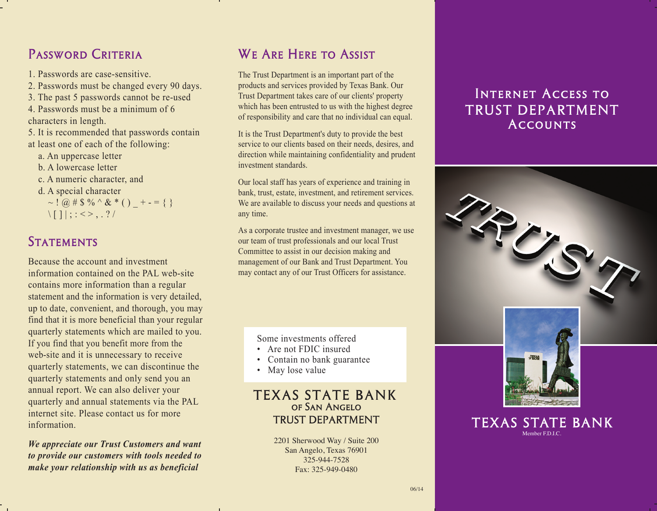# PASSWORD CRITERIA

- 1. Passwords are case-sensitive.
- 2. Passwords must be changed every 90 days.
- 3. The past 5 passwords cannot be re-used
- 4. Passwords must be a minimum of 6 characters in length.
- 5. It is recommended that passwords contain at least one of each of the following:
	- a. An uppercase letter
	- b. A lowercase letter
	- c. A numeric character, and
	- d. A special character

~ !  $\omega \# \$  % ^ & \* ( ) + - = { }  $\left|\left| \right| \right|$  ; : <>, . ? /

#### **STATEMENTS**

Because the account and investment information contained on the PAL web-site contains more information than a regular statement and the information is very detailed, up to date, convenient, and thorough, you may find that it is more beneficial than your regular quarterly statements which are mailed to you. If you find that you benefit more from the web-site and it is unnecessary to receive quarterly statements, we can discontinue the quarterly statements and only send you an annual report. We can also deliver your quarterly and annual statements via the PAL internet site. Please contact us for more information.

*We appreciate our Trust Customers and want to provide our customers with tools needed to make your relationship with us as beneficial* 

# We Are Here to Assist

The Trust Department is an important part of the products and services provided by Texas Bank. Our Trust Department takes care of our clients' property which has been entrusted to us with the highest degree of responsibility and care that no individual can equal.

It is the Trust Department's duty to provide the best service to our clients based on their needs, desires, and direction while maintaining confidentiality and prudent investment standards.

Our local staff has years of experience and training in bank, trust, estate, investment, and retirement services. We are available to discuss your needs and questions at any time.

As a corporate trustee and investment manager, we use our team of trust professionals and our local Trust Committee to assist in our decision making and management of our Bank and Trust Department. You may contact any of our Trust Officers for assistance.

Some investments offered

- Are not FDIC insured
- Contain no bank guarantee
- May lose value

#### TEXAS STATE BANK of San Angelo TRUST DEPARTMENT

2201 Sherwood Way / Suite 200 San Angelo, Texas 76901 325-944-7528 Fax: 325-949-0480

### Internet Access to TRUST DEPARTMENT **ACCOUNTS**



06/14